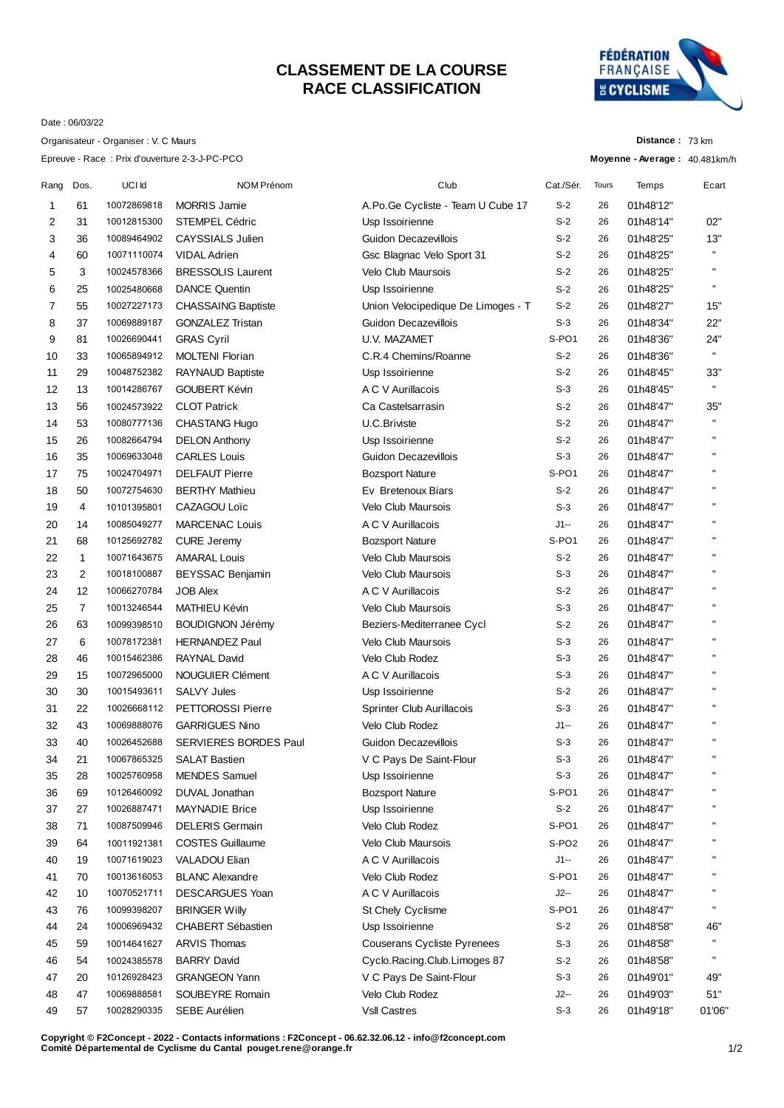## **CLASSEMENT DE LA COURSE RACE CLASSIFICATION**



**Distance :** 73 km

Date : 06/03/22

Organisateur - Organiser : V. C Maurs

|      |                |             | Epreuve - Race: Prix d'ouverture 2-3-J-PC-PCO |                                    |                            |       | Moyenne - Average: 40.481km/h |              |
|------|----------------|-------------|-----------------------------------------------|------------------------------------|----------------------------|-------|-------------------------------|--------------|
| Rang | Dos.           | UCI Id      | NOM Prénom                                    | Club                               | Cat./Sér.                  | Tours | Temps                         | Ecart        |
| 1    | 61             | 10072869818 | <b>MORRIS Jamie</b>                           | A.Po.Ge Cycliste - Team U Cube 17  | $S-2$                      | 26    | 01h48'12"                     |              |
| 2    | 31             | 10012815300 | <b>STEMPEL Cédric</b>                         | Usp Issoirienne                    | $S-2$                      | 26    | 01h48'14"                     | 02"          |
| 3    | 36             | 10089464902 | <b>CAYSSIALS Julien</b>                       | Guidon Decazevillois               | $S-2$                      | 26    | 01h48'25"                     | 13"          |
| 4    | 60             | 10071110074 | <b>VIDAL Adrien</b>                           | Gsc Blagnac Velo Sport 31          | $S-2$                      | 26    | 01h48'25"                     | $\mathbf{H}$ |
| 5    | 3              | 10024578366 | <b>BRESSOLIS Laurent</b>                      | <b>Velo Club Maursois</b>          | $S-2$                      | 26    | 01h48'25"                     | $\mathbf{H}$ |
| 6    | 25             | 10025480668 | <b>DANCE Quentin</b>                          | Usp Issoirienne                    | $S-2$                      | 26    | 01h48'25"                     | $\mathbf{H}$ |
| 7    | 55             | 10027227173 | CHASSAING Baptiste                            | Union Velocipedique De Limoges - T | $S-2$                      | 26    | 01h48'27"                     | 15"          |
| 8    | 37             | 10069889187 | <b>GONZALEZ Tristan</b>                       | Guidon Decazevillois               | $S-3$                      | 26    | 01h48'34"                     | 22"          |
| 9    | 81             | 10026690441 | <b>GRAS Cyril</b>                             | <b>U.V. MAZAMET</b>                | S-PO1                      | 26    | 01h48'36"                     | 24"          |
| 10   | 33             | 10065894912 | <b>MOLTENI Florian</b>                        | C.R.4 Chemins/Roanne               | $S-2$                      | 26    | 01h48'36"                     | $\mathbf{H}$ |
| 11   | 29             | 10048752382 | RAYNAUD Baptiste                              | Usp Issoirienne                    | $S-2$                      | 26    | 01h48'45"                     | 33"          |
| 12   | 13             | 10014286767 | <b>GOUBERT Kévin</b>                          | A C V Aurillacois                  | $S-3$                      | 26    | 01h48'45"                     | $\mathbf{H}$ |
| 13   | 56             | 10024573922 | <b>CLOT Patrick</b>                           | Ca Castelsarrasin                  | $S-2$                      | 26    | 01h48'47"                     | 35"          |
| 14   | 53             | 10080777136 | CHASTANG Hugo                                 | U.C.Briviste                       | $S-2$                      | 26    | 01h48'47"                     |              |
| 15   | 26             | 10082664794 | <b>DELON Anthony</b>                          | Usp Issoirienne                    | $S-2$                      | 26    | 01h48'47"                     | $\mathbf{H}$ |
| 16   | 35             | 10069633048 | <b>CARLES Louis</b>                           | Guidon Decazevillois               | $S-3$                      | 26    | 01h48'47"                     | $\mathbf{H}$ |
| 17   | 75             | 10024704971 | <b>DELFAUT Pierre</b>                         | <b>Bozsport Nature</b>             | S-PO <sub>1</sub>          | 26    | 01h48'47"                     | $\mathbf{H}$ |
| 18   | 50             | 10072754630 | <b>BERTHY Mathieu</b>                         | Ev Bretenoux Biars                 | $S-2$                      | 26    | 01h48'47"                     | $\mathbf{H}$ |
| 19   | 4              | 10101395801 | CAZAGOU Loïc                                  | <b>Velo Club Maursois</b>          | $S-3$                      | 26    | 01h48'47"                     | $\mathbf{H}$ |
| 20   | 14             | 10085049277 | <b>MARCENAC Louis</b>                         | A C V Aurillacois                  | $J1 -$                     | 26    | 01h48'47"                     | $\mathbf{H}$ |
| 21   | 68             | 10125692782 | <b>CURE Jeremy</b>                            | <b>Bozsport Nature</b>             | S-PO <sub>1</sub>          | 26    | 01h48'47"                     | $\mathbf{H}$ |
| 22   | $\mathbf{1}$   | 10071643675 | <b>AMARAL Louis</b>                           | Velo Club Maursois                 | $S-2$                      | 26    | 01h48'47"                     | $\mathbf{H}$ |
| 23   | 2              | 10018100887 | BEYSSAC Benjamin                              | <b>Velo Club Maursois</b>          | $S-3$                      | 26    | 01h48'47"                     | $\mathbf{H}$ |
| 24   | 12             | 10066270784 | <b>JOB Alex</b>                               | A C V Aurillacois                  | $S-2$                      | 26    | 01h48'47"                     |              |
| 25   | $\overline{7}$ | 10013246544 | MATHIEU Kévin                                 | Velo Club Maursois                 | $S-3$                      | 26    | 01h48'47"                     | $\mathbf{H}$ |
| 26   | 63             | 10099398510 | <b>BOUDIGNON Jérémy</b>                       | Beziers-Mediterranee Cycl          | $S-2$                      | 26    | 01h48'47"                     | $\mathbf{H}$ |
| 27   | 6              | 10078172381 | <b>HERNANDEZ Paul</b>                         | Velo Club Maursois                 | $S-3$                      | 26    | 01h48'47"                     | $\mathbf{H}$ |
| 28   | 46             | 10015462386 | <b>RAYNAL David</b>                           | Velo Club Rodez                    | $S-3$                      | 26    | 01h48'47"                     | $\mathbf{H}$ |
| 29   | 15             | 10072965000 | <b>NOUGUIER Clément</b>                       | A C V Aurillacois                  | $S-3$                      | 26    | 01h48'47"                     | $\mathbf{H}$ |
| 30   | 30             | 10015493611 | <b>SALVY Jules</b>                            | Usp Issoirienne                    | $S-2$                      | 26    | 01h48'47"                     | $\mathbf{H}$ |
| 31   | 22             | 10026668112 | <b>PETTOROSSI Pierre</b>                      | Sprinter Club Aurillacois          | $S-3$                      | 26    | 01h48'47"                     | $\mathbf{H}$ |
| 32   | 43             | 10069888076 | <b>GARRIGUES Nino</b>                         | Velo Club Rodez                    | $J1 -$                     | 26    | 01h48'47"                     | $\mathbf{H}$ |
| 33   | 40             | 10026452688 | SERVIERES BORDES Paul                         | Guidon Decazevillois               | $S-3$                      | 26    | 01h48'47"                     |              |
| 34   | 21             | 10067865325 | <b>SALAT Bastien</b>                          | V C Pays De Saint-Flour            | $S-3$                      | 26    | 01h48'47"                     |              |
| 35   | 28             | 10025760958 | <b>MENDES</b> Samuel                          | Usp Issoirienne                    | $S-3$                      | 26    | 01h48'47"                     |              |
| 36   | 69             | 10126460092 | DUVAL Jonathan                                | <b>Bozsport Nature</b>             | S-PO <sub>1</sub>          | 26    | 01h48'47"                     |              |
| 37   | 27             | 10026887471 | <b>MAYNADIE Brice</b>                         | Usp Issoirienne                    | $S-2$                      | 26    | 01h48'47"                     |              |
| 38   | 71             | 10087509946 | <b>DELERIS Germain</b>                        | Velo Club Rodez                    | S-PO <sub>1</sub>          | 26    | 01h48'47"                     |              |
| 39   | 64             | 10011921381 | <b>COSTES Guillaume</b>                       | <b>Velo Club Maursois</b>          | S-PO <sub>2</sub>          | 26    | 01h48'47"                     | н            |
| 40   | 19             | 10071619023 | VALADOU Elian                                 | A C V Aurillacois                  | $J1 -$                     | 26    | 01h48'47"                     |              |
|      | 70             | 10013616053 | <b>BLANC Alexandre</b>                        | Velo Club Rodez                    | S-PO <sub>1</sub>          | 26    | 01h48'47"                     | п            |
| 41   |                |             | <b>DESCARGUES Yoan</b>                        | A C V Aurillacois                  | $J2-$                      | 26    |                               |              |
| 42   | 10             | 10070521711 |                                               |                                    |                            |       | 01h48'47"                     |              |
| 43   | 76<br>24       | 10099398207 | <b>BRINGER Willy</b><br>CHABERT Sébastien     | St Chely Cyclisme                  | S-PO <sub>1</sub><br>$S-2$ | 26    | 01h48'47"                     | 46"          |
| 44   |                | 10006969432 |                                               | Usp Issoirienne                    |                            | 26    | 01h48'58"                     | $\mathbf{H}$ |
| 45   | 59             | 10014641627 | <b>ARVIS Thomas</b>                           | Couserans Cycliste Pyrenees        | $S-3$                      | 26    | 01h48'58"                     | $\mathbf{H}$ |
| 46   | 54             | 10024385578 | <b>BARRY David</b>                            | Cyclo.Racing.Club.Limoges 87       | $S-2$                      | 26    | 01h48'58"                     |              |
| 47   | 20             | 10126928423 | <b>GRANGEON Yann</b>                          | V C Pays De Saint-Flour            | $S-3$                      | 26    | 01h49'01"                     | 49"          |
| 48   | 47             | 10069888581 | SOUBEYRE Romain                               | Velo Club Rodez                    | $J2-$                      | 26    | 01h49'03"                     | 51"          |
| 49   | 57             | 10028290335 | SEBE Aurélien                                 | <b>VsII Castres</b>                | $S-3$                      | 26    | 01h49'18"                     | 01'06"       |

**Copyright © F2Concept - 2022 - Contacts informations : F2Concept - 06.62.32.06.12 - info@f2concept.com Comité Départemental de Cyclisme du Cantal pouget.rene@orange.fr**